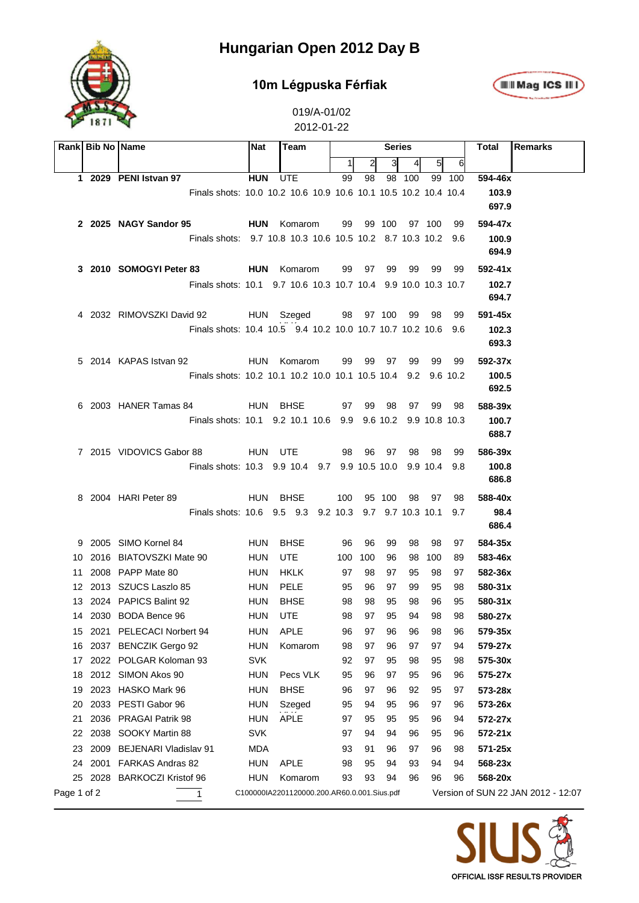

#### **10m Légpuska Férfiak**



|             | Rank Bib No Name |                                                                 | <b>Nat</b> |  | Team                                        |           |    |        | <b>Series</b> |     |        | Total       | <b>Remarks</b>                     |
|-------------|------------------|-----------------------------------------------------------------|------------|--|---------------------------------------------|-----------|----|--------|---------------|-----|--------|-------------|------------------------------------|
|             |                  |                                                                 |            |  | 1                                           |           | ЗI | 41     | $5 \vert$     | 6   |        |             |                                    |
|             |                  | 1 2029 PENI Istvan 97                                           | <b>HUN</b> |  | <b>UTE</b>                                  | 99        | 98 |        | 98 100        |     | 99 100 | 594-46x     |                                    |
|             |                  | Finals shots: 10.0 10.2 10.6 10.9 10.6 10.1 10.5 10.2 10.4 10.4 |            |  |                                             |           |    |        |               |     |        | 103.9       |                                    |
|             |                  |                                                                 |            |  |                                             |           |    |        |               |     |        | 697.9       |                                    |
|             |                  | 2 2025 NAGY Sandor 95                                           |            |  | <b>HUN</b> Komarom                          | 99        |    |        | 99 100 97 100 |     | 99     | 594-47x     |                                    |
|             |                  | Finals shots: 9.7 10.8 10.3 10.6 10.5 10.2 8.7 10.3 10.2 9.6    |            |  |                                             |           |    |        |               |     |        | 100.9       |                                    |
|             |                  |                                                                 |            |  |                                             |           |    |        |               |     |        | 694.9       |                                    |
|             |                  | 3 2010 SOMOGYI Peter 83<br><b>HUN</b> Komarom                   |            |  |                                             | 99        | 97 | 99     | 99            | 99  | 99     | $592 - 41x$ |                                    |
|             |                  | Finals shots: 10.1 9.7 10.6 10.3 10.7 10.4 9.9 10.0 10.3 10.7   |            |  |                                             |           |    |        |               |     |        | 102.7       |                                    |
|             |                  |                                                                 |            |  |                                             |           |    |        |               |     |        | 694.7       |                                    |
|             |                  | 4 2032 RIMOVSZKI David 92<br>HUN Szeged                         |            |  |                                             | 98 97 100 |    |        | 99            | 98  | 99     | 591-45x     |                                    |
|             |                  | Finals shots: 10.4 10.5 9.4 10.2 10.0 10.7 10.7 10.2 10.6 9.6   |            |  |                                             |           |    |        |               |     |        | 102.3       |                                    |
|             |                  |                                                                 |            |  |                                             |           |    |        |               |     |        | 693.3       |                                    |
|             |                  | 5 2014 KAPAS Istvan 92                                          |            |  | HUN Komarom                                 | 99        | 99 | 97     | 99            | 99  | 99     | 592-37x     |                                    |
|             |                  | Finals shots: 10.2 10.1 10.2 10.0 10.1 10.5 10.4 9.2 9.6 10.2   |            |  |                                             |           |    |        |               |     |        | 100.5       |                                    |
|             |                  |                                                                 |            |  |                                             |           |    |        |               |     |        | 692.5       |                                    |
|             |                  | 6 2003 HANER Tamas 84                                           | HUN BHSE   |  |                                             | 97        | 99 | 98     | 97            | 99  | 98     | 588-39x     |                                    |
|             |                  | Finals shots: 10.1 9.2 10.1 10.6 9.9 9.6 10.2 9.9 10.8 10.3     |            |  |                                             |           |    |        |               |     |        | 100.7       |                                    |
|             |                  |                                                                 |            |  |                                             |           |    |        |               |     |        | 688.7       |                                    |
|             |                  | 7 2015 VIDOVICS Gabor 88                                        | HUN UTE    |  |                                             | 98        | 96 | - 97   | 98            | 98  | -99    | 586-39x     |                                    |
|             |                  | Finals shots: 10.3 9.9 10.4 9.7 9.9 10.5 10.0 9.9 10.4 9.8      |            |  |                                             |           |    |        |               |     |        | 100.8       |                                    |
|             |                  |                                                                 |            |  |                                             |           |    |        |               |     |        | 686.8       |                                    |
|             |                  | 8 2004 HARI Peter 89                                            | HUN BHSE   |  |                                             | 100       |    | 95 100 | 98            | 97  | 98     | 588-40x     |                                    |
|             |                  | Finals shots: 10.6 9.5 9.3 9.2 10.3 9.7 9.7 10.3 10.1           |            |  |                                             |           |    |        |               |     | 9.7    | 98.4        |                                    |
|             |                  |                                                                 |            |  |                                             |           |    |        |               |     |        | 686.4       |                                    |
|             |                  | 9 2005 SIMO Kornel 84                                           | <b>HUN</b> |  | BHSE                                        | 96        | 96 | 99     | 98            | 98  | 97     | 584-35x     |                                    |
| 10.         |                  | 2016 BIATOVSZKI Mate 90                                         | HUN        |  | <b>UTE</b>                                  | 100 100   |    | 96     | 98            | 100 | 89     | 583-46x     |                                    |
| 11          |                  | 2008 PAPP Mate 80                                               | HUN        |  | HKLK                                        | 97        | 98 | 97     | 95            | 98  | 97     | 582-36x     |                                    |
|             |                  | 12 2013 SZUCS Laszlo 85                                         | HUN        |  | PELE                                        | 95        | 96 | 97     | 99            | 95  | 98     | 580-31x     |                                    |
|             |                  | 13 2024 PAPICS Balint 92                                        | HUN        |  | <b>BHSE</b>                                 | 98        | 98 | 95     | 98            | 96  | 95     | 580-31x     |                                    |
|             |                  | 14 2030 BODA Bence 96                                           | <b>HUN</b> |  | <b>UTE</b>                                  | 98        | 97 | 95     | 94            | 98  | 98     | 580-27x     |                                    |
| 15          |                  | 2021 PELECACI Norbert 94                                        | <b>HUN</b> |  | <b>APLE</b>                                 | 96        | 97 | 96     | 96            | 98  | 96     | 579-35x     |                                    |
| 16          | 2037             | <b>BENCZIK Gergo 92</b>                                         | <b>HUN</b> |  | Komarom                                     | 98        | 97 | 96     | 97            | 97  | 94     | 579-27x     |                                    |
| 17          |                  | 2022 POLGAR Koloman 93                                          | <b>SVK</b> |  |                                             | 92        | 97 | 95     | 98            | 95  | 98     | 575-30x     |                                    |
| 18          | 2012             | SIMON Akos 90                                                   | <b>HUN</b> |  | Pecs VLK                                    | 95        | 96 | 97     | 95            | 96  | 96     | 575-27x     |                                    |
| 19          | 2023             | HASKO Mark 96                                                   | <b>HUN</b> |  | <b>BHSE</b>                                 | 96        | 97 | 96     | 92            | 95  | 97     | 573-28x     |                                    |
| 20          | 2033             | PESTI Gabor 96                                                  | <b>HUN</b> |  | Szeged                                      | 95        | 94 | 95     | 96            | 97  | 96     | 573-26x     |                                    |
| 21          |                  | 2036 PRAGAI Patrik 98                                           | <b>HUN</b> |  | <b>APLE</b>                                 | 97        | 95 | 95     | 95            | 96  | 94     | 572-27x     |                                    |
| 22          | 2038             | SOOKY Martin 88                                                 | <b>SVK</b> |  |                                             | 97        | 94 | 94     | 96            | 95  | 96     | 572-21x     |                                    |
| 23          | 2009             | <b>BEJENARI Vladislav 91</b>                                    | MDA        |  |                                             | 93        | 91 | 96     | 97            | 96  | 98     | 571-25x     |                                    |
| 24          | 2001             | FARKAS Andras 82                                                | <b>HUN</b> |  | <b>APLE</b>                                 | 98        | 95 | 94     | 93            | 94  | 94     | 568-23x     |                                    |
| 25          | 2028             | <b>BARKOCZI Kristof 96</b>                                      | <b>HUN</b> |  | Komarom                                     | 93        | 93 | 94     | 96            | 96  | 96     | 568-20x     |                                    |
| Page 1 of 2 |                  | 1                                                               |            |  | C100000IA2201120000.200.AR60.0.001.Sius.pdf |           |    |        |               |     |        |             | Version of SUN 22 JAN 2012 - 12:07 |

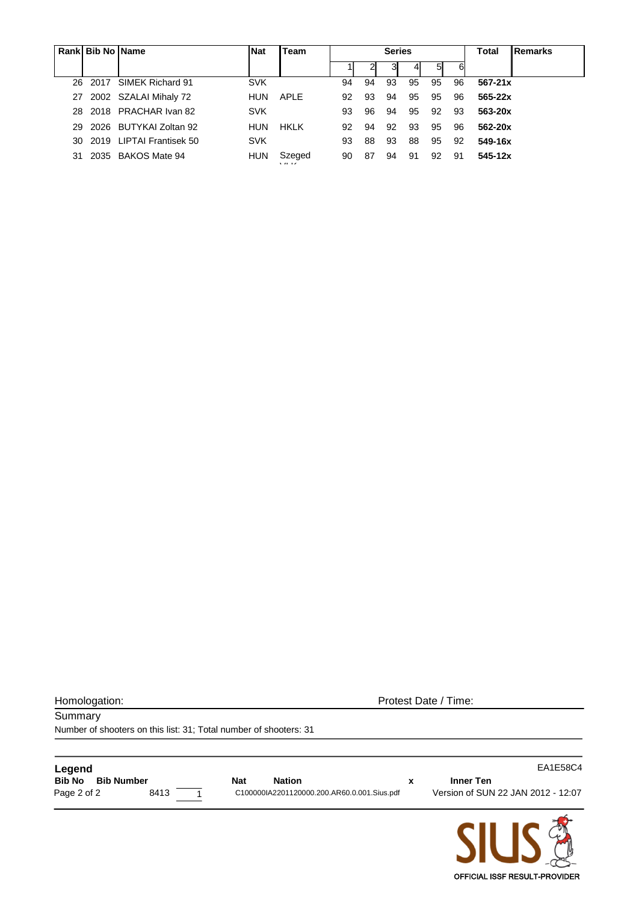|     | Rank Bib No Name |                             | <b>Nat</b> | Team           | <b>Series</b> |    |    |    |    |    | Total       | Remarks |
|-----|------------------|-----------------------------|------------|----------------|---------------|----|----|----|----|----|-------------|---------|
|     |                  |                             |            |                |               |    | 31 |    | 51 | 6  |             |         |
|     |                  | 26 2017 SIMEK Richard 91    | <b>SVK</b> |                | 94            | 94 | 93 | 95 | 95 | 96 | $567 - 21x$ |         |
|     |                  | 27 2002 SZALAI Mihaly 72    | <b>HUN</b> | APLE           | 92            | 93 | 94 | 95 | 95 | 96 | $565 - 22x$ |         |
|     |                  | 28 2018 PRACHAR Ivan 82     | <b>SVK</b> |                | 93            | 96 | 94 | 95 | 92 | 93 | 563-20x     |         |
| 29. |                  | 2026 BUTYKAI Zoltan 92      | <b>HUN</b> | <b>HKLK</b>    | 92            | 94 | 92 | 93 | 95 | 96 | 562-20x     |         |
|     |                  | 30 2019 LIPTAI Frantisek 50 | <b>SVK</b> |                | 93            | 88 | 93 | 88 | 95 | 92 | 549-16x     |         |
| 31. |                  | 2035 BAKOS Mate 94          | HUN        | Szeged<br>1117 | 90            | 87 | 94 | 91 | 92 | 91 | 545-12x     |         |

Homologation: Protest Date / Time:

**Summary** Number of shooters on this list: 31; Total number of shooters: 31

| <b>Bib No</b><br><b>Bib Number</b><br><b>Nation</b><br><b>Nat</b> | Inner Ten                                                                         |
|-------------------------------------------------------------------|-----------------------------------------------------------------------------------|
| 8413<br>Page 2 of 2                                               | Version of SUN 22 JAN 2012 - 12:07<br>C100000IA2201120000.200.AR60.0.001.Sius.pdf |

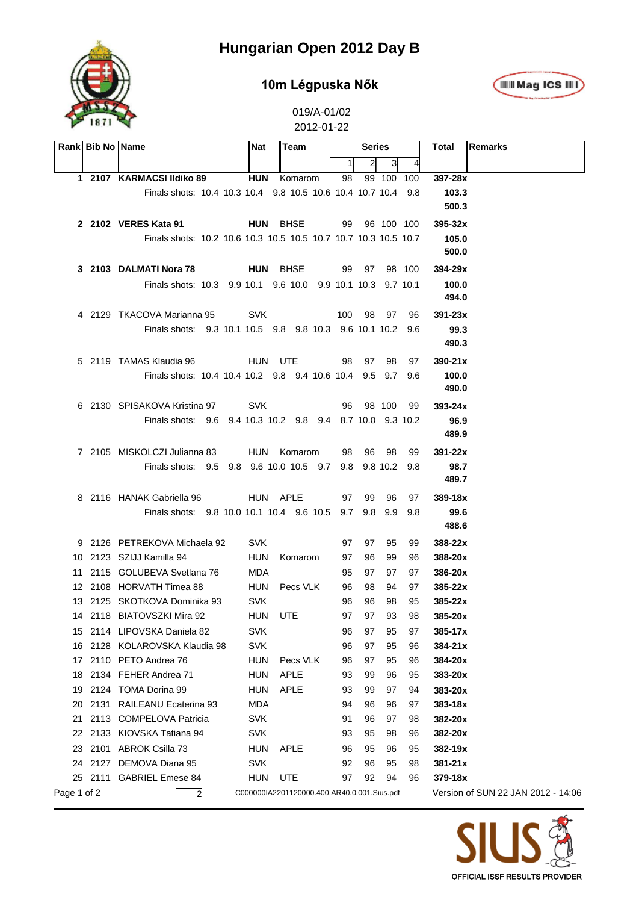

### **10m Légpuska Nők**



|             | Rank Bib No Name |                                                                 | <b>Nat</b> |             | Team                                        |     | <b>Series</b>  |            |     | Total       | Remarks                            |
|-------------|------------------|-----------------------------------------------------------------|------------|-------------|---------------------------------------------|-----|----------------|------------|-----|-------------|------------------------------------|
|             |                  |                                                                 |            |             |                                             | 11  | $\overline{2}$ | 31         |     |             |                                    |
|             |                  | 1 2107 KARMACSI Ildiko 89                                       | <b>HUN</b> |             | Komarom                                     | 98  |                | 99 100 100 |     | 397-28x     |                                    |
|             |                  | Finals shots: 10.4 10.3 10.4 9.8 10.5 10.6 10.4 10.7 10.4 9.8   |            |             |                                             |     |                |            |     | 103.3       |                                    |
|             |                  |                                                                 |            |             |                                             |     |                |            |     | 500.3       |                                    |
|             |                  | 2 2102 VERES Kata 91                                            | HUN BHSE   |             |                                             | 99  |                | 96 100 100 |     | $395 - 32x$ |                                    |
|             |                  | Finals shots: 10.2 10.6 10.3 10.5 10.5 10.7 10.7 10.3 10.5 10.7 |            |             |                                             |     |                |            |     | 105.0       |                                    |
|             |                  |                                                                 |            |             |                                             |     |                |            |     | 500.0       |                                    |
|             |                  | 3 2103 DALMATI Nora 78                                          | HUN BHSE   |             |                                             | 99  |                | 97 98 100  |     | 394-29x     |                                    |
|             |                  | Finals shots: 10.3 9.9 10.1 9.6 10.0 9.9 10.1 10.3 9.7 10.1     |            |             |                                             |     |                |            |     | 100.0       |                                    |
|             |                  |                                                                 |            |             |                                             |     |                |            |     | 494.0       |                                    |
|             |                  | 4 2129 TKACOVA Marianna 95                                      | <b>SVK</b> |             |                                             | 100 | - 98           | 97         | 96  | $391 - 23x$ |                                    |
|             |                  | Finals shots: 9.3 10.1 10.5 9.8 9.8 10.3 9.6 10.1 10.2 9.6      |            |             |                                             |     |                |            |     | 99.3        |                                    |
|             |                  |                                                                 |            |             |                                             |     |                |            |     | 490.3       |                                    |
|             |                  | 5 2119 TAMAS Klaudia 96                                         | HUN UTE    |             |                                             | 98  | 97             | 98         | 97  | $390 - 21x$ |                                    |
|             |                  | Finals shots: 10.4 10.4 10.2 9.8 9.4 10.6 10.4 9.5 9.7 9.6      |            |             |                                             |     |                |            |     | 100.0       |                                    |
|             |                  |                                                                 |            |             |                                             |     |                |            |     | 490.0       |                                    |
|             |                  | 6 2130 SPISAKOVA Kristina 97                                    | <b>SVK</b> |             |                                             | 96  |                | 98 100     | 99  | $393 - 24x$ |                                    |
|             |                  | Finals shots: 9.6 9.4 10.3 10.2 9.8 9.4 8.7 10.0 9.3 10.2       |            |             |                                             |     |                |            |     | 96.9        |                                    |
|             |                  |                                                                 |            |             |                                             |     |                |            |     | 489.9       |                                    |
|             |                  | 7 2105 MISKOLCZI Julianna 83                                    |            |             | HUN Komarom                                 | 98  | 96             | - 98       | 99  | $391 - 22x$ |                                    |
|             |                  | Finals shots: 9.5 9.8 9.6 10.0 10.5 9.7 9.8 9.8 10.2 9.8        |            |             |                                             |     |                |            |     | 98.7        |                                    |
|             |                  |                                                                 |            |             |                                             |     |                |            |     | 489.7       |                                    |
|             |                  | 8 2116 HANAK Gabriella 96                                       | HUN APLE   |             |                                             | 97  | 99             | 96         | 97  | $389 - 18x$ |                                    |
|             |                  | Finals shots: 9.8 10.0 10.1 10.4 9.6 10.5 9.7 9.8 9.9           |            |             |                                             |     |                |            | 9.8 | 99.6        |                                    |
|             |                  |                                                                 |            |             |                                             |     |                |            |     | 488.6       |                                    |
|             |                  | 9 2126 PETREKOVA Michaela 92                                    | <b>SVK</b> |             |                                             | 97  | 97             | 95         | 99  | 388-22x     |                                    |
|             |                  | 10 2123 SZIJJ Kamilla 94                                        | <b>HUN</b> |             | Komarom                                     | 97  | 96             | 99         | 96  | 388-20x     |                                    |
|             |                  | 11 2115 GOLUBEVA Svetlana 76                                    | MDA        |             |                                             | 95  | 97             | 97         | 97  | 386-20x     |                                    |
|             |                  | 12 2108 HORVATH Timea 88                                        | HUN        |             | Pecs VLK                                    | 96  | 98             | 94         | 97  | $385 - 22x$ |                                    |
|             |                  | 13 2125 SKOTKOVA Dominika 93                                    | <b>SVK</b> |             |                                             | 96  | 96             | 98         | 95  | $385 - 22x$ |                                    |
|             |                  | 14 2118 BIATOVSZKI Mira 92                                      | <b>HUN</b> | UTE         |                                             | 97  | 97             | 93         | 98  | 385-20x     |                                    |
|             |                  | 15 2114 LIPOVSKA Daniela 82                                     | <b>SVK</b> |             |                                             | 96  | 97             | 95         | 97  | 385-17x     |                                    |
| 16          |                  | 2128 KOLAROVSKA Klaudia 98                                      | <b>SVK</b> |             |                                             | 96  | 97             | 95         | 96  | $384 - 21x$ |                                    |
| 17          |                  | 2110 PETO Andrea 76                                             | <b>HUN</b> |             | Pecs VLK                                    | 96  | 97             | 95         | 96  | 384-20x     |                                    |
| 18          |                  | 2134 FEHER Andrea 71                                            | <b>HUN</b> |             | <b>APLE</b>                                 | 93  | 99             | 96         | 95  | 383-20x     |                                    |
| 19          |                  | 2124 TOMA Dorina 99                                             | <b>HUN</b> |             | <b>APLE</b>                                 | 93  | 99             | 97         | 94  | 383-20x     |                                    |
| 20          |                  | 2131 RAILEANU Ecaterina 93                                      | MDA        |             |                                             | 94  | 96             | 96         | 97  | $383 - 18x$ |                                    |
| 21          |                  | 2113 COMPELOVA Patricia                                         | <b>SVK</b> |             |                                             | 91  | 96             | 97         | 98  | 382-20x     |                                    |
|             |                  | 22 2133 KIOVSKA Tatiana 94                                      | <b>SVK</b> |             |                                             | 93  | 95             | 98         | 96  | 382-20x     |                                    |
| 23          |                  | 2101 ABROK Csilla 73                                            | <b>HUN</b> | <b>APLE</b> |                                             | 96  | 95             | 96         | 95  | 382-19x     |                                    |
|             |                  | 24 2127 DEMOVA Diana 95                                         | <b>SVK</b> |             |                                             | 92  | 96             | 95         | 98  | 381-21x     |                                    |
|             |                  | 25 2111 GABRIEL Emese 84                                        | <b>HUN</b> | UTE         |                                             | 97  | 92             | 94         | 96  | 379-18x     |                                    |
| Page 1 of 2 |                  | 2                                                               |            |             | C000000IA2201120000.400.AR40.0.001.Sius.pdf |     |                |            |     |             | Version of SUN 22 JAN 2012 - 14:06 |

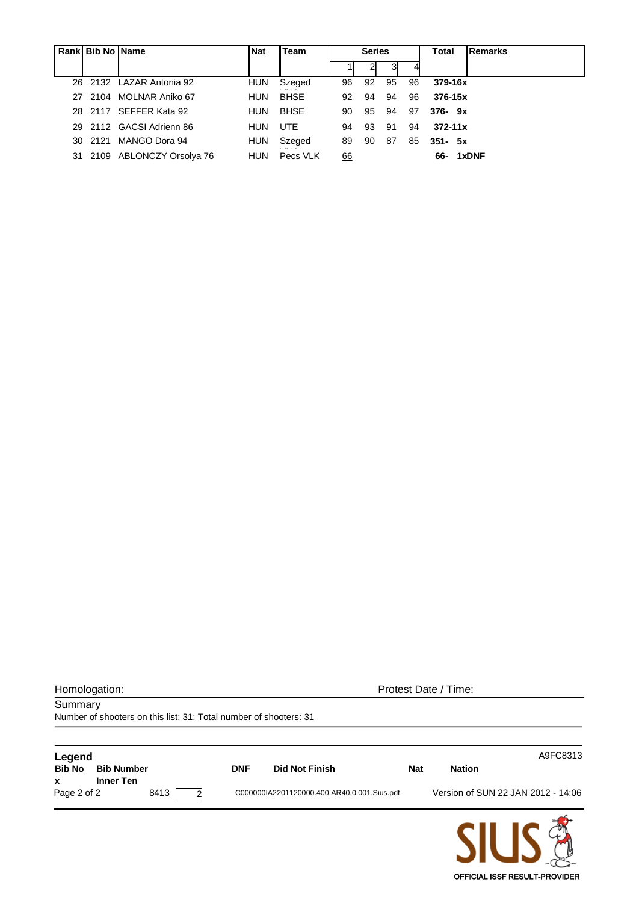|     | Rank Bib No Name |                             | <b>Nat</b> | Team         |           | <b>Series</b> |    |    | <b>Total</b><br>Remarks |
|-----|------------------|-----------------------------|------------|--------------|-----------|---------------|----|----|-------------------------|
|     |                  |                             |            |              |           |               |    |    |                         |
|     |                  | 26 2132 LAZAR Antonia 92    | <b>HUN</b> | Szeged<br>   | 96        | 92            | 95 | 96 | 379-16x                 |
| 27. |                  | 2104 MOLNAR Aniko 67        | <b>HUN</b> | <b>BHSE</b>  | 92        | 94            | 94 | 96 | $376 - 15x$             |
|     |                  | 28 2117 SEFFER Kata 92      | <b>HUN</b> | <b>BHSE</b>  | 90        | 95            | 94 | 97 | $376 - 9x$              |
|     |                  | 29 2112 GACSI Adrienn 86    | <b>HUN</b> | <b>UTE</b>   | 94        | 93            | 91 | 94 | $372 - 11x$             |
|     |                  | 30 2121 MANGO Dora 94       | <b>HUN</b> | Szeged       | 89        | 90            | 87 | 85 | $351 - 5x$              |
|     |                  | 31 2109 ABLONCZY Orsolya 76 | <b>HUN</b> | <br>Pecs VLK | <u>66</u> |               |    |    | 66- 1xDNF               |

Number of shooters on this list: 31; Total number of shooters: 31

Summary

Homologation: Protest Date / Time:

**Legend** A9FC8313 **Bib No Bib Number DNF Did Not Finish Nat Nation x Inner Ten** 8413 2 C000000IA2201120000.400.AR40.0.001.Sius.pdf Version of SUN 22 JAN 2012 - 14:06

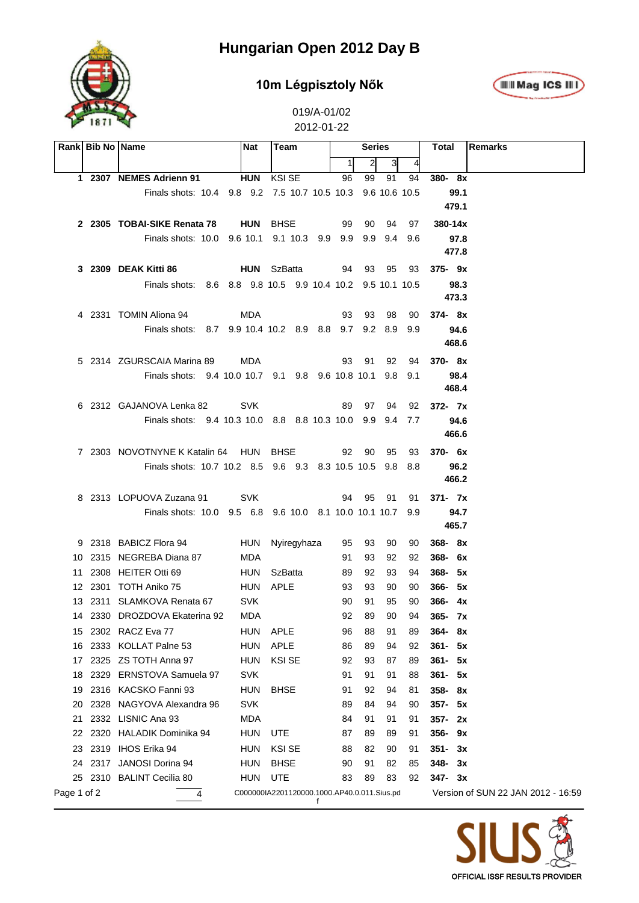

### **10m Légpisztoly Nők**



|             | Rank Bib No Name |                                                            | <b>Nat</b> | Team                                        |    | Series |      |                 |       | Total<br>Remarks                   |
|-------------|------------------|------------------------------------------------------------|------------|---------------------------------------------|----|--------|------|-----------------|-------|------------------------------------|
|             |                  |                                                            |            |                                             |    | 1      | 2    | 31              |       |                                    |
|             |                  | 1 2307 NEMES Adrienn 91                                    | <b>HUN</b> | <b>KSI SE</b>                               |    | 96     | 99   | 91              | 94    | 380-8x                             |
|             |                  | Finals shots: 10.4 9.8 9.2 7.5 10.7 10.5 10.3              |            |                                             |    |        |      | 9.6 10.6 10.5   |       | 99.1                               |
|             |                  |                                                            |            |                                             |    |        |      |                 |       | 479.1                              |
|             |                  | 2 2305 TOBAI-SIKE Renata 78                                |            | HUN BHSE                                    |    | 99     | 90   | 94              | 97    | $380 - 14x$                        |
|             |                  | Finals shots: 10.0 9.6 10.1 9.1 10.3 9.9 9.9               |            |                                             |    |        |      | $9.9 \quad 9.4$ | 9.6   | 97.8                               |
|             |                  |                                                            |            |                                             |    |        |      |                 |       | 477.8                              |
|             |                  | 3 2309 DEAK Kitti 86                                       |            | <b>HUN</b> SzBatta                          |    | 94     | 93   | 95              | 93    | 375-9x                             |
|             |                  | Finals shots: 8.6 8.8 9.8 10.5 9.9 10.4 10.2 9.5 10.1 10.5 |            |                                             |    |        |      |                 |       | 98.3                               |
|             |                  |                                                            |            |                                             |    |        |      |                 |       | 473.3                              |
|             |                  | 4 2331 TOMIN Aliona 94                                     | MDA        |                                             |    | 93     | 93   | 98              | 90    | 374-8x                             |
|             |                  | Finals shots: 8.7 9.9 10.4 10.2 8.9 8.8 9.7 9.2 8.9        |            |                                             |    |        |      |                 | 9.9   | 94.6                               |
|             |                  |                                                            |            |                                             |    |        |      |                 |       | 468.6                              |
|             |                  | 5 2314 ZGURSCAIA Marina 89                                 | MDA        |                                             |    | 93     | 91   | 92              | 94    | 370-8x                             |
|             |                  | Finals shots: 9.4 10.0 10.7 9.1 9.8 9.6 10.8 10.1 9.8      |            |                                             |    |        |      |                 | -9.1  | 98.4                               |
|             |                  |                                                            |            |                                             |    |        |      |                 |       | 468.4                              |
|             |                  | 6 2312 GAJANOVA Lenka 82                                   | <b>SVK</b> |                                             |    | 89     | 97   | 94              | 92    | $372 - 7x$                         |
|             |                  | Finals shots: 9.4 10.3 10.0 8.8 8.8 10.3 10.0              |            |                                             |    |        |      | $9.9 \quad 9.4$ | 7.7   | 94.6                               |
|             |                  |                                                            |            |                                             |    |        |      |                 |       | 466.6                              |
|             |                  | 7 2303 NOVOTNYNE K Katalin 64 HUN BHSE                     |            |                                             |    | 92     | - 90 | 95              | 93    | 370- 6x                            |
|             |                  | Finals shots: 10.7 10.2 8.5 9.6 9.3 8.3 10.5 10.5 9.8      |            |                                             |    |        |      |                 | - 8.8 | 96.2                               |
|             |                  |                                                            |            |                                             |    |        |      |                 |       | 466.2                              |
|             |                  | 8 2313 LOPUOVA Zuzana 91                                   | <b>SVK</b> |                                             |    | 94     | 95   | -91             | 91    | 371- 7x                            |
|             |                  | Finals shots: 10.0 9.5 6.8 9.6 10.0 8.1 10.0 10.1 10.7     |            |                                             |    |        |      |                 | 9.9   | 94.7                               |
|             |                  |                                                            |            |                                             |    |        |      |                 |       | 465.7                              |
|             |                  | 9 2318 BABICZ Flora 94                                     |            | HUN Nyiregyhaza                             |    | 95     | 93   | 90              | 90    | $368 - 8x$                         |
|             |                  | 10 2315 NEGREBA Diana 87                                   | MDA        |                                             |    | 91     | 93   | 92              | 92    | $368 - 6x$                         |
| 11          |                  | 2308 HEITER Otti 69                                        |            | HUN SzBatta                                 |    | 89     | 92   | 93              | 94    | $368 - 5x$                         |
|             |                  | 12 2301 TOTH Aniko 75                                      | HUN APLE   |                                             |    | 93     | 93   | 90              | 90    | $366 - 5x$                         |
|             |                  | 13 2311 SLAMKOVA Renata 67                                 | <b>SVK</b> |                                             |    | 90     | 91   | 95              | 90    | $366 - 4x$                         |
|             |                  | 14 2330 DROZDOVA Ekaterina 92                              | MDA        |                                             |    | 92     | 89   | 90              | 94    | $365 - 7x$                         |
|             |                  | 15 2302 RACZ Eva 77                                        | HUN APLE   |                                             |    | 96     | 88   | 91              | 89    | 364-8x                             |
|             |                  | 16 2333 KOLLAT Palne 53                                    | <b>HUN</b> | APLE                                        |    | 86     | 89   | 94              | 92    | $361 - 5x$                         |
|             |                  | 17 2325 ZS TOTH Anna 97                                    | <b>HUN</b> | <b>KSI SE</b>                               |    | 92     | 93   | 87              | 89    | $361 - 5x$                         |
| 18          |                  | 2329 ERNSTOVA Samuela 97                                   | <b>SVK</b> |                                             |    | 91     | 91   | 91              | 88    | $361 - 5x$                         |
| 19          |                  | 2316 KACSKO Fanni 93                                       | <b>HUN</b> | <b>BHSE</b>                                 |    | 91     | 92   | 94              | 81    | 358-8x                             |
| 20          |                  | 2328 NAGYOVA Alexandra 96                                  | <b>SVK</b> |                                             |    | 89     | 84   | 94              | 90    | 357- 5x                            |
| 21          |                  | 2332 LISNIC Ana 93                                         | <b>MDA</b> |                                             |    | 84     | 91   | 91              | 91    | $357 - 2x$                         |
|             |                  | 22 2320 HALADIK Dominika 94                                | HUN UTE    |                                             |    | 87     | 89   | 89              | 91    | 356-9x                             |
|             |                  | 23 2319 IHOS Erika 94                                      | <b>HUN</b> | KSI SE                                      |    | 88     | 82   | 90              | 91    | $351 - 3x$                         |
|             |                  | 24 2317 JANOSI Dorina 94                                   | <b>HUN</b> | BHSE                                        |    | 90     | 91   | 82              | 85    | $348 - 3x$                         |
|             |                  | 25 2310 BALINT Cecilia 80                                  | HUN UTE    |                                             |    | 83     | 89   | 83              | 92    | $347 - 3x$                         |
| Page 1 of 2 |                  | 4                                                          |            | C000000IA2201120000.1000.AP40.0.011.Sius.pd | t. |        |      |                 |       | Version of SUN 22 JAN 2012 - 16:59 |

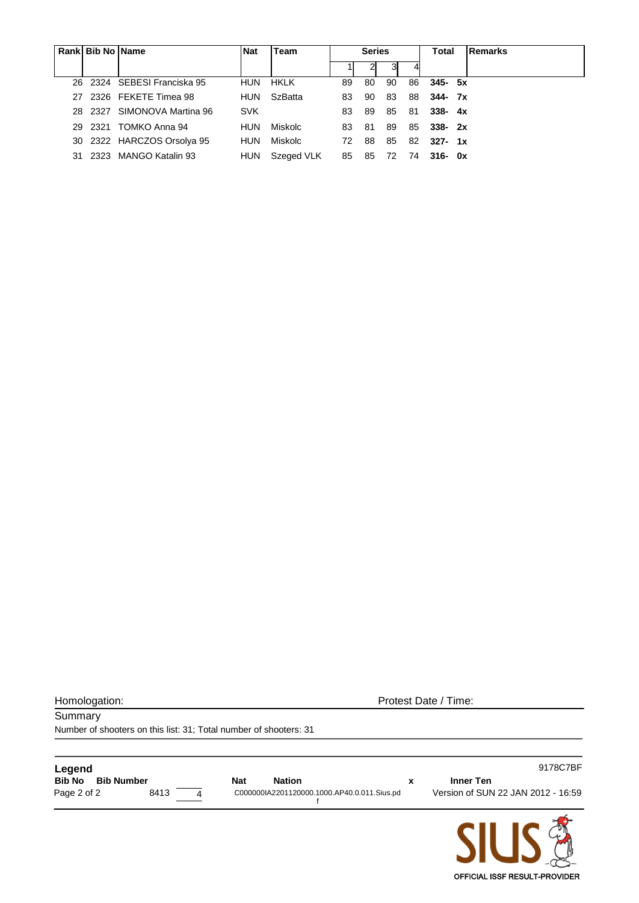|     | Rank Bib No Name |                             | <b>Nat</b> | Team           |     | <b>Series</b> |    | Total | <b>Remarks</b> |  |
|-----|------------------|-----------------------------|------------|----------------|-----|---------------|----|-------|----------------|--|
|     |                  |                             |            |                |     |               |    |       |                |  |
|     |                  | 26 2324 SEBESI Franciska 95 | <b>HUN</b> | HKLK           | 89  | 80            | 90 | 86    | $345 - 5x$     |  |
| 27. |                  | 2326 FEKETE Timea 98        | <b>HUN</b> | <b>SzBatta</b> | 83  | 90            | 83 | 88    | $344 - 7x$     |  |
|     |                  | 28 2327 SIMONOVA Martina 96 | <b>SVK</b> |                | 83  | 89            | 85 | -81   | $338 - 4x$     |  |
|     |                  | 29 2321 TOMKO Anna 94       | HUN        | Miskolc        | 83. | -81           | 89 | 85    | 338-2x         |  |
|     |                  | 30 2322 HARCZOS Orsolya 95  | HUN        | Miskolc        | 72. | 88            | 85 | 82    | $327 - 1x$     |  |
| 31. |                  | 2323 MANGO Katalin 93       | <b>HUN</b> | Szeged VLK     | 85  | 85            | 72 | 74    | $316 - 0x$     |  |

| Homologation: |
|---------------|
|               |

Protest Date / Time:

**Summary** Number of shooters on this list: 31; Total number of shooters: 31

| Legend                             |      |   |            |                                             | 9178C7BF                           |
|------------------------------------|------|---|------------|---------------------------------------------|------------------------------------|
| <b>Bib No</b><br><b>Bib Number</b> |      |   | <b>Nat</b> | <b>Nation</b>                               | <b>Inner Ten</b>                   |
| Page 2 of 2                        | 8413 | 4 |            | C000000IA2201120000.1000.AP40.0.011.Sius.pd | Version of SUN 22 JAN 2012 - 16:59 |
|                                    |      |   |            |                                             |                                    |

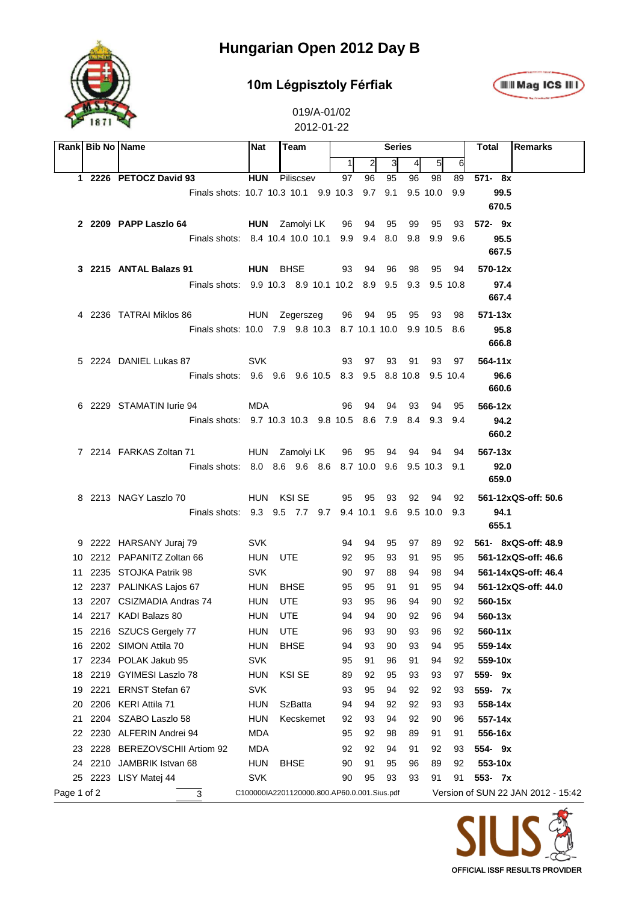

#### **10m Légpisztoly Férfiak**



|             | Rank Bib No Name |                                                 | <b>Nat</b>                                  | Team           | <b>Series</b>  |     |     |     |          |          | Total       | <b>Remarks</b>                     |
|-------------|------------------|-------------------------------------------------|---------------------------------------------|----------------|----------------|-----|-----|-----|----------|----------|-------------|------------------------------------|
|             |                  |                                                 |                                             |                | 1 <sup>1</sup> | 2   | 3   | 4   | $5 \mid$ | 6        |             |                                    |
|             |                  | 1 2226 PETOCZ David 93                          | <b>HUN</b>                                  | Piliscsev      | 97             | 96  | 95  | 96  | 98       | 89       | 571-8x      |                                    |
|             |                  | Finals shots: 10.7 10.3 10.1 9.9 10.3           |                                             |                |                | 9.7 | 9.1 |     | 9.5 10.0 | 9.9      | 99.5        |                                    |
|             |                  |                                                 |                                             |                |                |     |     |     |          |          | 670.5       |                                    |
|             |                  | 2 2209 PAPP Laszlo 64                           |                                             | HUN Zamolyi LK | 96             | 94  | 95  | 99  | 95       | 93       | $572 - 9x$  |                                    |
|             |                  | Finals shots: 8.4 10.4 10.0 10.1 9.9            |                                             |                |                | 9.4 | 8.0 | 9.8 | 9.9      | 9.6      | 95.5        |                                    |
|             |                  |                                                 |                                             |                |                |     |     |     |          |          | 667.5       |                                    |
|             |                  | 3 2215 ANTAL Balazs 91                          | HUN BHSE                                    |                | 93             | 94  | 96  | 98  | 95       | 94       | 570-12x     |                                    |
|             |                  | Finals shots: 9.9 10.3 8.9 10.1 10.2 8.9 9.5    |                                             |                |                |     |     | 9.3 |          | 9.5 10.8 | 97.4        |                                    |
|             |                  |                                                 |                                             |                |                |     |     |     |          |          | 667.4       |                                    |
|             |                  | 4 2236 TATRAI Miklos 86                         |                                             | HUN Zegerszeg  | 96             | 94  | 95  | 95  | 93       | 98       | 571-13x     |                                    |
|             |                  | Finals shots: 10.0 7.9 9.8 10.3 8.7 10.1 10.0   |                                             |                |                |     |     |     | 9.9 10.5 | 8.6      | 95.8        |                                    |
|             |                  |                                                 |                                             |                |                |     |     |     |          |          | 666.8       |                                    |
|             |                  | 5 2224 DANIEL Lukas 87                          | <b>SVK</b>                                  |                | 93             | 97  | 93  | 91  | 93       | 97       | $564 - 11x$ |                                    |
|             |                  | Finals shots: 9.6 9.6 9.6 10.5 8.3 9.5 8.8 10.8 |                                             |                |                |     |     |     |          | 9.5 10.4 | 96.6        |                                    |
|             |                  |                                                 |                                             |                |                |     |     |     |          |          | 660.6       |                                    |
|             |                  | 6 2229 STAMATIN lurie 94                        | <b>MDA</b>                                  |                | 96             | 94  | 94  | 93  | 94       | 95       | 566-12x     |                                    |
|             |                  | Finals shots: 9.7 10.3 10.3 9.8 10.5 8.6 7.9    |                                             |                |                |     |     |     | 8.4 9.3  | 9.4      | 94.2        |                                    |
|             |                  |                                                 |                                             |                |                |     |     |     |          |          | 660.2       |                                    |
|             |                  | 7 2214 FARKAS Zoltan 71                         |                                             | HUN Zamolyi LK | 96             | 95  | 94  | 94  | 94       | 94       | 567-13x     |                                    |
|             |                  | Finals shots: 8.0 8.6 9.6 8.6 8.7 10.0 9.6      |                                             |                |                |     |     |     | 9.5 10.3 | 9.1      | 92.0        |                                    |
|             |                  |                                                 |                                             |                |                |     |     |     |          |          | 659.0       |                                    |
|             |                  | 8 2213 NAGY Laszlo 70                           |                                             | HUN KSI SE     | 95             | 95  | 93  | 92  | 94       | 92       |             | 561-12xQS-off: 50.6                |
|             |                  | Finals shots: 9.3 9.5 7.7 9.7 9.4 10.1          |                                             |                |                |     | 9.6 |     | 9.5 10.0 | 9.3      | 94.1        |                                    |
|             |                  |                                                 |                                             |                |                |     |     |     |          |          | 655.1       |                                    |
|             |                  | 9 2222 HARSANY Juraj 79                         | <b>SVK</b>                                  |                | 94             | 94  | 95  | 97  | 89       | 92       |             | 561- 8xQS-off: 48.9                |
| 10.         |                  | 2212 PAPANITZ Zoltan 66                         | <b>HUN</b>                                  | UTE            | 92             | 95  | 93  | 91  | 95       | 95       |             | 561-12xQS-off: 46.6                |
| 11          |                  | 2235 STOJKA Patrik 98                           | <b>SVK</b>                                  |                | 90             | 97  | 88  | 94  | 98       | 94       |             | 561-14xQS-off: 46.4                |
|             |                  | 12 2237 PALINKAS Lajos 67                       | <b>HUN</b>                                  | <b>BHSE</b>    | 95             | 95  | 91  | 91  | 95       | 94       |             | 561-12xQS-off: 44.0                |
|             |                  | 13 2207 CSIZMADIA Andras 74                     | <b>HUN</b>                                  | <b>UTE</b>     | 93             | 95  | 96  | 94  | 90       | 92       | 560-15x     |                                    |
|             |                  | 14 2217 KADI Balazs 80                          | <b>HUN</b>                                  | <b>UTE</b>     | 94             | 94  | 90  | 92  | 96       | 94       | $560 - 13x$ |                                    |
| 15          |                  | 2216 SZUCS Gergely 77                           | <b>HUN</b>                                  | UTE            | 96             | 93  | 90  | 93  | 96       | 92       | 560-11x     |                                    |
| 16          |                  | 2202 SIMON Attila 70                            | <b>HUN</b>                                  | <b>BHSE</b>    | 94             | 93  | 90  | 93  | 94       | 95       | 559-14x     |                                    |
| 17          |                  | 2234 POLAK Jakub 95                             | <b>SVK</b>                                  |                | 95             | 91  | 96  | 91  | 94       | 92       | 559-10x     |                                    |
| 18          | 2219             | GYIMESI Laszlo 78                               | <b>HUN</b>                                  | <b>KSI SE</b>  | 89             | 92  | 95  | 93  | 93       | 97       | 559-9x      |                                    |
| 19          | 2221             | ERNST Stefan 67                                 | <b>SVK</b>                                  |                | 93             | 95  | 94  | 92  | 92       | 93       | 559- 7x     |                                    |
| 20          |                  | 2206 KERI Attila 71                             | <b>HUN</b>                                  | <b>SzBatta</b> | 94             | 94  | 92  | 92  | 93       | 93       | 558-14x     |                                    |
| 21          |                  | 2204 SZABO Laszlo 58                            | <b>HUN</b>                                  | Kecskemet      | 92             | 93  | 94  | 92  | 90       | 96       | 557-14x     |                                    |
| 22          |                  | 2230 ALFERIN Andrei 94                          | <b>MDA</b>                                  |                | 95             | 92  | 98  | 89  | 91       | 91       | 556-16x     |                                    |
| 23          |                  | 2228 BEREZOVSCHII Artiom 92                     | <b>MDA</b>                                  |                | 92             | 92  | 94  | 91  | 92       | 93       | 554- 9x     |                                    |
| 24          |                  | 2210 JAMBRIK Istvan 68                          | <b>HUN</b>                                  | <b>BHSE</b>    | 90             | 91  | 95  | 96  | 89       | 92       | 553-10x     |                                    |
| 25          |                  | 2223 LISY Matej 44                              | SVK                                         |                | 90             | 95  | 93  | 93  | 91       | 91       | 553- 7x     |                                    |
| Page 1 of 2 |                  | 3                                               | C100000IA2201120000.800.AP60.0.001.Sius.pdf |                |                |     |     |     |          |          |             | Version of SUN 22 JAN 2012 - 15:42 |

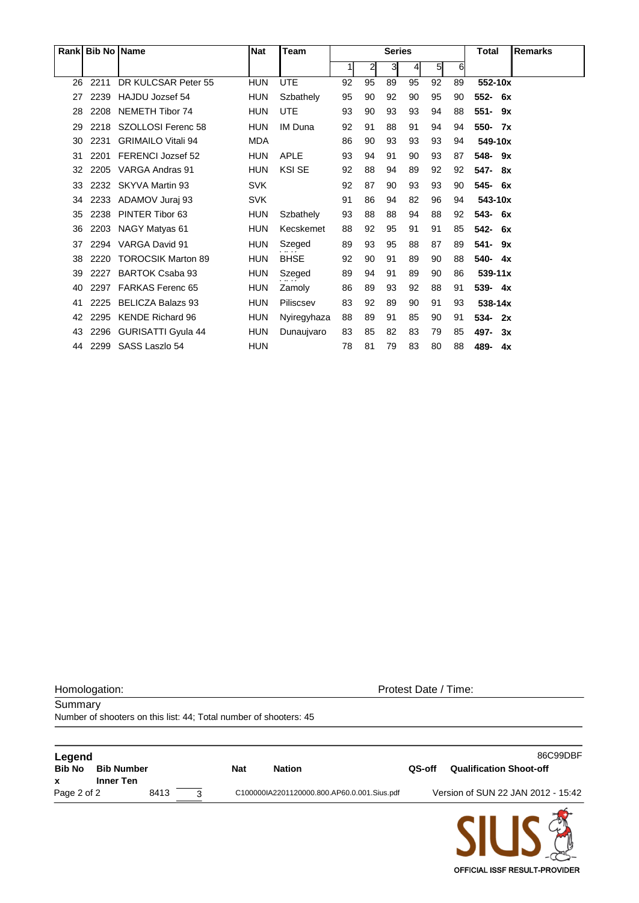|    | Rank Bib No Name |                           | <b>Nat</b> | Team           | <b>Series</b> |              |    | <b>Total</b> | <b>Remarks</b> |    |                   |  |
|----|------------------|---------------------------|------------|----------------|---------------|--------------|----|--------------|----------------|----|-------------------|--|
|    |                  |                           |            |                | 11            | $\mathbf{2}$ | 31 | 41           | 5 <sub>l</sub> | 6  |                   |  |
| 26 | 2211             | DR KULCSAR Peter 55       | <b>HUN</b> | <b>UTE</b>     | 92            | 95           | 89 | 95           | 92             | 89 | 552-10x           |  |
| 27 | 2239             | HAJDU Jozsef 54           | <b>HUN</b> | Szbathely      | 95            | 90           | 92 | 90           | 95             | 90 | $552 -$<br>- 6x   |  |
| 28 | 2208             | <b>NEMETH Tibor 74</b>    | HUN        | <b>UTE</b>     | 93            | 90           | 93 | 93           | 94             | 88 | $551 -$<br>9x     |  |
| 29 | 2218             | SZOLLOSI Ferenc 58        | <b>HUN</b> | <b>IM Duna</b> | 92            | 91           | 88 | 91           | 94             | 94 | 550-<br><b>7x</b> |  |
| 30 | 2231             | <b>GRIMAILO Vitali 94</b> | <b>MDA</b> |                | 86            | 90           | 93 | 93           | 93             | 94 | 549-10x           |  |
| 31 | 2201             | FERENCI Jozsef 52         | <b>HUN</b> | <b>APLE</b>    | 93            | 94           | 91 | 90           | 93             | 87 | 548-<br>9x        |  |
| 32 | 2205             | VARGA Andras 91           | <b>HUN</b> | <b>KSI SE</b>  | 92            | 88           | 94 | 89           | 92             | 92 | 547-<br>8x        |  |
| 33 | 2232             | SKYVA Martin 93           | <b>SVK</b> |                | 92            | 87           | 90 | 93           | 93             | 90 | 545-<br>- 6x      |  |
| 34 | 2233             | ADAMOV Juraj 93           | <b>SVK</b> |                | 91            | 86           | 94 | 82           | 96             | 94 | 543-10x           |  |
| 35 | 2238             | PINTER Tibor 63           | <b>HUN</b> | Szbathely      | 93            | 88           | 88 | 94           | 88             | 92 | 543-<br>6x        |  |
| 36 | 2203             | NAGY Matyas 61            | HUN        | Kecskemet      | 88            | 92           | 95 | 91           | 91             | 85 | 542-<br>6x        |  |
| 37 | 2294             | VARGA David 91            | <b>HUN</b> | Szeged         | 89            | 93           | 95 | 88           | 87             | 89 | $541 -$<br>9x     |  |
| 38 | 2220             | <b>TOROCSIK Marton 89</b> | <b>HUN</b> | <b>BHSE</b>    | 92            | 90           | 91 | 89           | 90             | 88 | 540-<br>4x        |  |
| 39 | 2227             | <b>BARTOK Csaba 93</b>    | <b>HUN</b> | Szeged         | 89            | 94           | 91 | 89           | 90             | 86 | $539 - 11x$       |  |
| 40 | 2297             | <b>FARKAS Ferenc 65</b>   | <b>HUN</b> | Zamoly         | 86            | 89           | 93 | 92           | 88             | 91 | 539- 4x           |  |
| 41 | 2225             | <b>BELICZA Balazs 93</b>  | <b>HUN</b> | Piliscsev      | 83            | 92           | 89 | 90           | 91             | 93 | $538 - 14x$       |  |
| 42 | 2295             | <b>KENDE Richard 96</b>   | HUN        | Nyiregyhaza    | 88            | 89           | 91 | 85           | 90             | 91 | 534-<br>2x        |  |
| 43 | 2296             | <b>GURISATTI Gyula 44</b> | <b>HUN</b> | Dunaujvaro     | 83            | 85           | 82 | 83           | 79             | 85 | 497-<br>3x        |  |
| 44 | 2299             | SASS Laszlo 54            | <b>HUN</b> |                | 78            | 81           | 79 | 83           | 80             | 88 | 489-<br>4x        |  |

Number of shooters on this list: 44; Total number of shooters: 45

**Summary** 

Homologation: Protest Date / Time:

**Legend** 86C99DBF **Bib No Bib Number Nat Nation QS-off Qualification Shoot-off x Inner Ten** Page 2 of 2 8413 3 C100000IA2201120000.800.AP60.0.001.Sius.pdf Version of SUN 22 JAN 2012 - 15:42